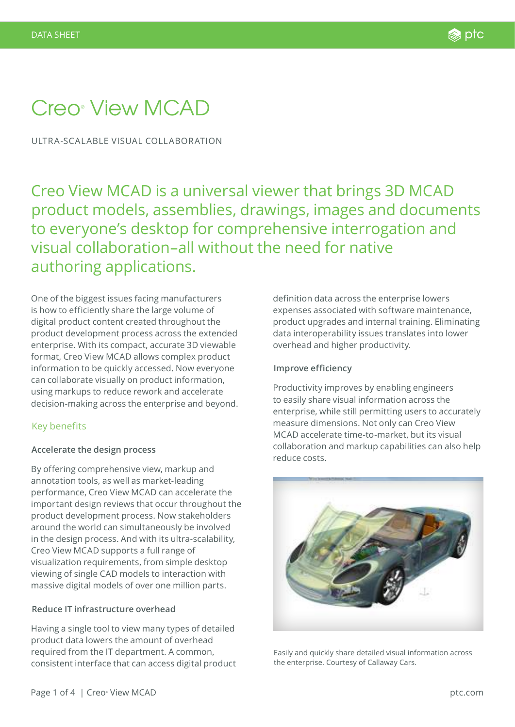# Creo® View MCAD

ULTRA-SCALABLE VISUAL COLLABORATION

Creo View MCAD is a universal viewer that brings 3D MCAD product models, assemblies, drawings, images and documents to everyone's desktop for comprehensive interrogation and visual collaboration–all without the need for native authoring applications.

One of the biggest issues facing manufacturers is how to efficiently share the large volume of digital product content created throughout the product development process across the extended enterprise. With its compact, accurate 3D viewable format, Creo View MCAD allows complex product information to be quickly accessed. Now everyone can collaborate visually on product information, using markups to reduce rework and accelerate decision-making across the enterprise and beyond.

## Key benefits

## **Accelerate the design process**

By offering comprehensive view, markup and annotation tools, as well as market-leading performance, Creo View MCAD can accelerate the important design reviews that occur throughout the product development process. Now stakeholders around the world can simultaneously be involved in the design process. And with its ultra-scalability, Creo View MCAD supports a full range of visualization requirements, from simple desktop viewing of single CAD models to interaction with massive digital models of over one million parts.

## **Reduce IT infrastructure overhead**

Having a single tool to view many types of detailed product data lowers the amount of overhead required from the IT department. A common, consistent interface that can access digital product definition data across the enterprise lowers expenses associated with software maintenance, product upgrades and internal training. Eliminating data interoperability issues translates into lower overhead and higher productivity.

#### **Improve efficiency**

Productivity improves by enabling engineers to easily share visual information across the enterprise, while still permitting users to accurately measure dimensions. Not only can Creo View MCAD accelerate time-to-market, but its visual collaboration and markup capabilities can also help reduce costs.



Easily and quickly share detailed visual information across the enterprise. Courtesy of Callaway Cars.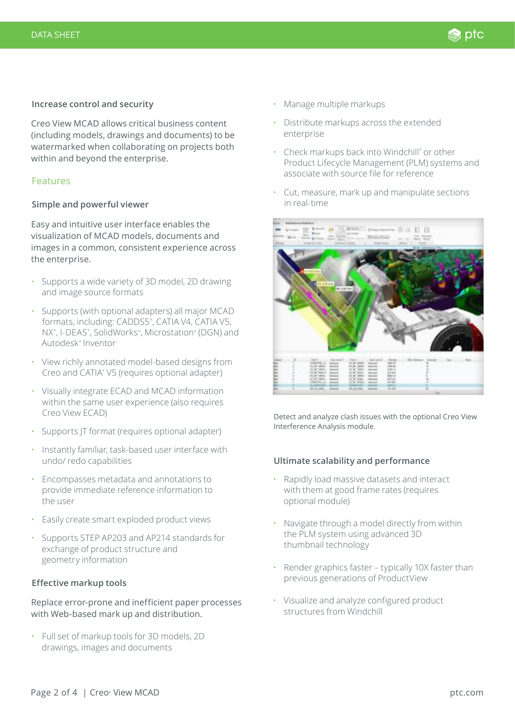#### **Increase control and security**

Creo View MCAD allows critical business content (including models, drawings and documents) to be watermarked when collaborating on projects both within and beyond the enterprise.

## Features

#### **Simple and powerful viewer**

Easy and intuitive user interface enables the visualization of MCAD models, documents and images in a common, consistent experience across the enterprise.

- • Supports a wide variety of 3D model, 2D drawing and image source formats
- • Supports (with optional adapters) all major MCAD formats, including: CADDS5® , CATIA V4, CATIA V5, NX®, I-DEAS®, SolidWorks®, Microstation® (DGN) and Autodesk® Inventor
- View richly annotated model-based designs from Creo and CATIA® V5 (requires optional adapter)
- • Visually integrate ECAD and MCAD information within the same user experience (also requires Creo View ECAD)
- Supports IT format (requires optional adapter)
- • Instantly familiar, task-based user interface with undo/ redo capabilities
- • Encompasses metadata and annotations to provide immediate reference information to the user
- • Easily create smart exploded product views
- • Supports STEP AP203 and AP214 standards for exchange of product structure and geometry information

## **Effective markup tools**

Replace error-prone and inefficient paper processes with Web-based mark up and distribution.

• Full set of markup tools for 3D models, 2D drawings, images and documents

- Manage multiple markups
- Distribute markups across the extended enterprise
- Check markups back into Windchill® or other Product Lifecycle Management (PLM) systems and associate with source file for reference
- Cut, measure, mark up and manipulate sections in real-time



Detect and analyze clash issues with the optional Creo View Interference Analysis module.

## **Ultimate scalability and performance**

- Rapidly load massive datasets and interact with them at good frame rates (requires optional module)
- Navigate through a model directly from within the PLM system using advanced 3D thumbnail technology
- Render graphics faster typically 10X faster than previous generations of ProductView
- Visualize and analyze configured product structures from Windchill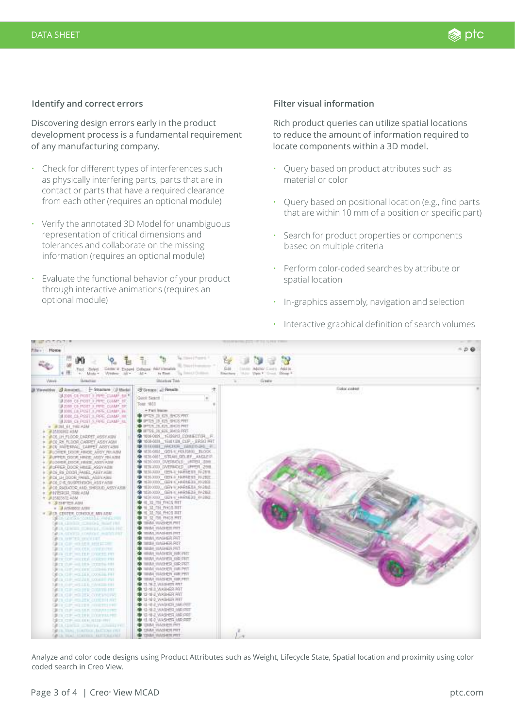#### **Identify and correct errors**

Discovering design errors early in the product development process is a fundamental requirement of any manufacturing company.

- Check for different types of interferences such as physically interfering parts, parts that are in contact or parts that have a required clearance from each other (requires an optional module)
- Verify the annotated 3D Model for unambiguous representation of critical dimensions and tolerances and collaborate on the missing information (requires an optional module)
- Evaluate the functional behavior of your product through interactive animations (requires an optional module)

#### **Filter visual information**

Rich product queries can utilize spatial locations to reduce the amount of information required to locate components within a 3D model.

- Query based on product attributes such as material or color
- Query based on positional location (e.g., find parts that are within 10 mm of a position or specific part)
- Search for product properties or components based on multiple criteria
- Perform color-coded searches by attribute or spatial location
- In-graphics assembly, navigation and selection



Analyze and color code designs using Product Attributes such as Weight, Lifecycle State, Spatial location and proximity using color

Interactive graphical definition of search volumes

coded search in Creo View.